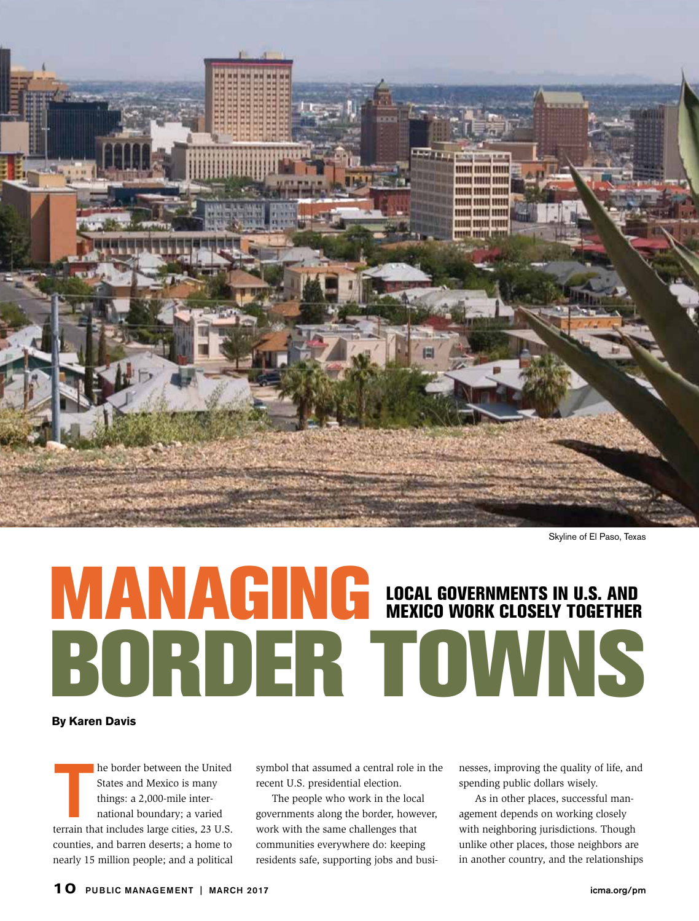

Skyline of El Paso, Texas

## MANAGING BORDER TOWNS LOCAL GOVERNMENTS IN U.S. AND MEXICO WORK CLOSELY TOGETHER

**By Karen Davis**

he border between the United<br>States and Mexico is many<br>things: a 2,000-mile inter-<br>national boundary; a varied<br>terrain that includes large cities, 23 U.S. he border between the United States and Mexico is many things: a 2,000-mile international boundary; a varied counties, and barren deserts; a home to nearly 15 million people; and a political

symbol that assumed a central role in the recent U.S. presidential election.

The people who work in the local governments along the border, however, work with the same challenges that communities everywhere do: keeping residents safe, supporting jobs and businesses, improving the quality of life, and spending public dollars wisely.

As in other places, successful management depends on working closely with neighboring jurisdictions. Though unlike other places, those neighbors are in another country, and the relationships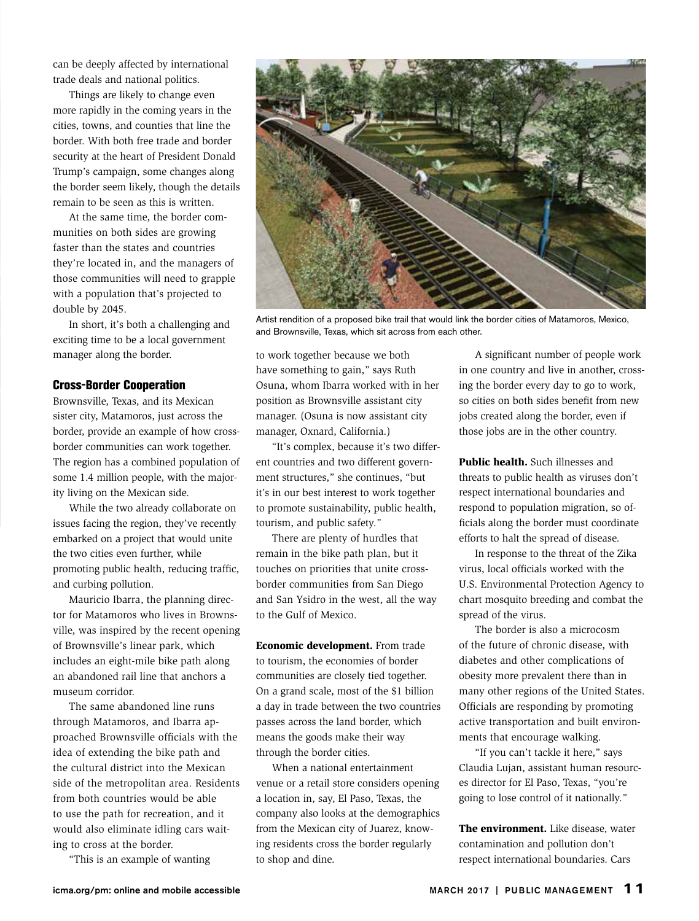can be deeply affected by international trade deals and national politics.

Things are likely to change even more rapidly in the coming years in the cities, towns, and counties that line the border. With both free trade and border security at the heart of President Donald Trump's campaign, some changes along the border seem likely, though the details remain to be seen as this is written.

At the same time, the border communities on both sides are growing faster than the states and countries they're located in, and the managers of those communities will need to grapple with a population that's projected to double by 2045.

In short, it's both a challenging and exciting time to be a local government manager along the border.

## Cross-Border Cooperation

Brownsville, Texas, and its Mexican sister city, Matamoros, just across the border, provide an example of how crossborder communities can work together. The region has a combined population of some 1.4 million people, with the majority living on the Mexican side.

While the two already collaborate on issues facing the region, they've recently embarked on a project that would unite the two cities even further, while promoting public health, reducing traffic, and curbing pollution.

Mauricio Ibarra, the planning director for Matamoros who lives in Brownsville, was inspired by the recent opening of Brownsville's linear park, which includes an eight-mile bike path along an abandoned rail line that anchors a museum corridor.

The same abandoned line runs through Matamoros, and Ibarra approached Brownsville officials with the idea of extending the bike path and the cultural district into the Mexican side of the metropolitan area. Residents from both countries would be able to use the path for recreation, and it would also eliminate idling cars waiting to cross at the border.

"This is an example of wanting



Artist rendition of a proposed bike trail that would link the border cities of Matamoros, Mexico, and Brownsville, Texas, which sit across from each other.

to work together because we both have something to gain," says Ruth Osuna, whom Ibarra worked with in her position as Brownsville assistant city manager. (Osuna is now assistant city manager, Oxnard, California.)

"It's complex, because it's two different countries and two different government structures," she continues, "but it's in our best interest to work together to promote sustainability, public health, tourism, and public safety."

There are plenty of hurdles that remain in the bike path plan, but it touches on priorities that unite crossborder communities from San Diego and San Ysidro in the west, all the way to the Gulf of Mexico.

Economic development. From trade to tourism, the economies of border communities are closely tied together. On a grand scale, most of the \$1 billion a day in trade between the two countries passes across the land border, which means the goods make their way through the border cities.

When a national entertainment venue or a retail store considers opening a location in, say, El Paso, Texas, the company also looks at the demographics from the Mexican city of Juarez, knowing residents cross the border regularly to shop and dine.

A significant number of people work in one country and live in another, crossing the border every day to go to work, so cities on both sides benefit from new jobs created along the border, even if those jobs are in the other country.

Public health. Such illnesses and threats to public health as viruses don't respect international boundaries and respond to population migration, so officials along the border must coordinate efforts to halt the spread of disease.

In response to the threat of the Zika virus, local officials worked with the U.S. Environmental Protection Agency to chart mosquito breeding and combat the spread of the virus.

The border is also a microcosm of the future of chronic disease, with diabetes and other complications of obesity more prevalent there than in many other regions of the United States. Officials are responding by promoting active transportation and built environments that encourage walking.

"If you can't tackle it here," says Claudia Lujan, assistant human resources director for El Paso, Texas, "you're going to lose control of it nationally."

The environment. Like disease, water contamination and pollution don't respect international boundaries. Cars